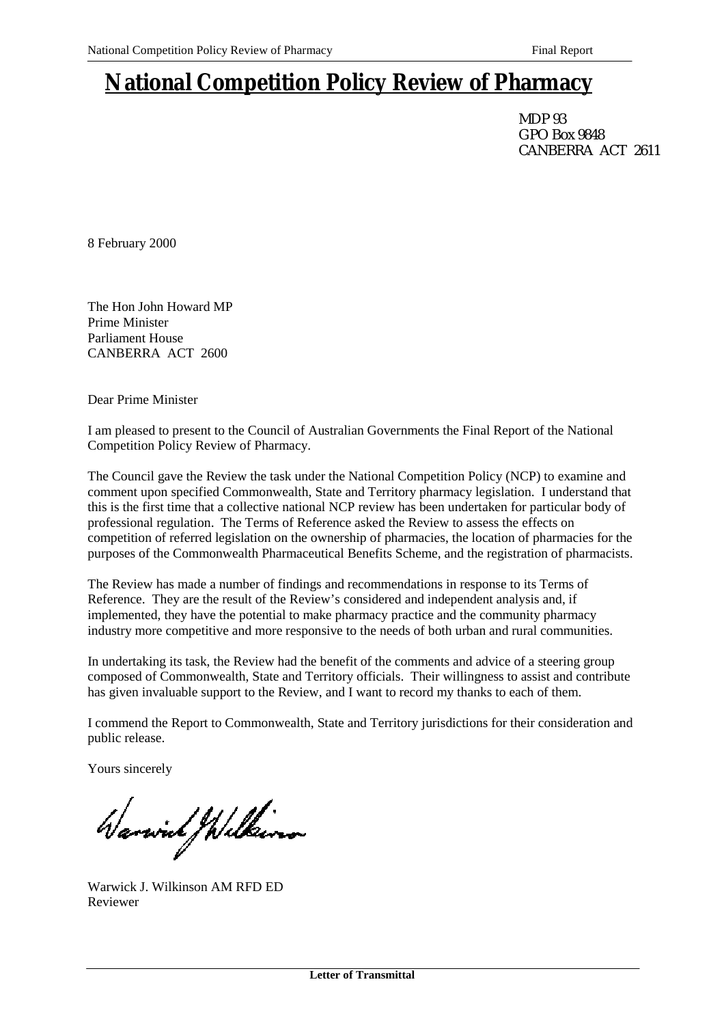## **National Competition Policy Review of Pharmacy**

MDP 93 GPO Box 9848 CANBERRA ACT 2611

8 February 2000

The Hon John Howard MP Prime Minister Parliament House CANBERRA ACT 2600

Dear Prime Minister

I am pleased to present to the Council of Australian Governments the Final Report of the National Competition Policy Review of Pharmacy.

The Council gave the Review the task under the National Competition Policy (NCP) to examine and comment upon specified Commonwealth, State and Territory pharmacy legislation. I understand that this is the first time that a collective national NCP review has been undertaken for particular body of professional regulation. The Terms of Reference asked the Review to assess the effects on competition of referred legislation on the ownership of pharmacies, the location of pharmacies for the purposes of the Commonwealth Pharmaceutical Benefits Scheme, and the registration of pharmacists.

The Review has made a number of findings and recommendations in response to its Terms of Reference. They are the result of the Review's considered and independent analysis and, if implemented, they have the potential to make pharmacy practice and the community pharmacy industry more competitive and more responsive to the needs of both urban and rural communities.

In undertaking its task, the Review had the benefit of the comments and advice of a steering group composed of Commonwealth, State and Territory officials. Their willingness to assist and contribute has given invaluable support to the Review, and I want to record my thanks to each of them.

I commend the Report to Commonwealth, State and Territory jurisdictions for their consideration and public release.

Yours sincerely

Warwich Wilkins

Warwick J. Wilkinson AM RFD ED Reviewer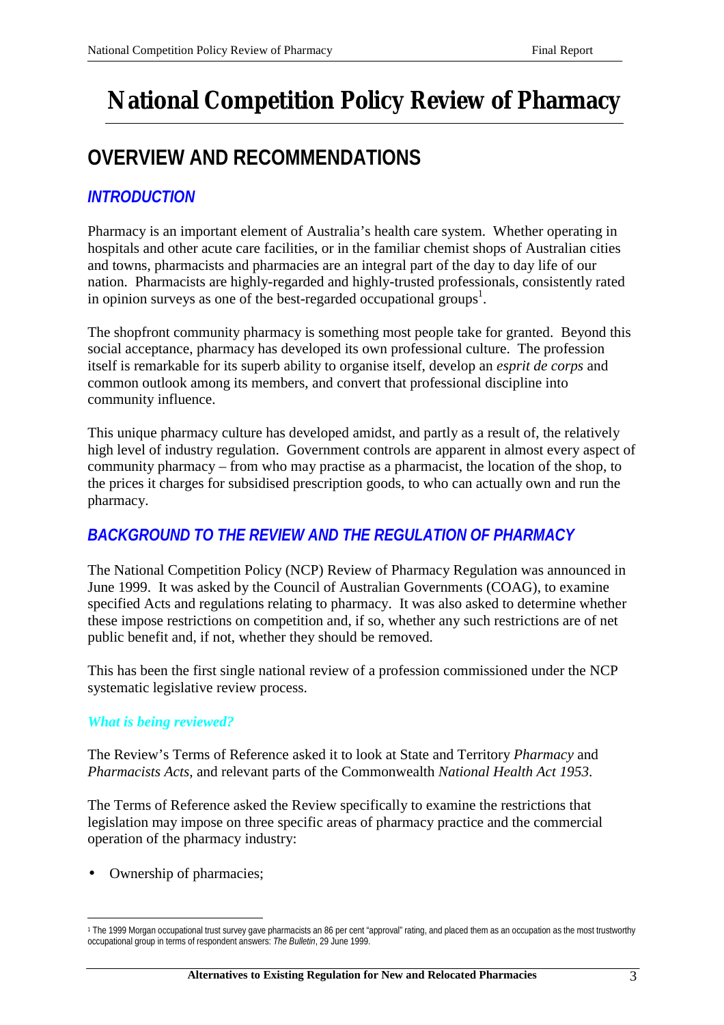# **National Competition Policy Review of Pharmacy**

## **OVERVIEW AND RECOMMENDATIONS**

## *INTRODUCTION*

Pharmacy is an important element of Australia's health care system. Whether operating in hospitals and other acute care facilities, or in the familiar chemist shops of Australian cities and towns, pharmacists and pharmacies are an integral part of the day to day life of our nation. Pharmacists are highly-regarded and highly-trusted professionals, consistently rated in opinion surveys as one of the best-regarded occupational groups<sup>1</sup>.

The shopfront community pharmacy is something most people take for granted. Beyond this social acceptance, pharmacy has developed its own professional culture. The profession itself is remarkable for its superb ability to organise itself, develop an *esprit de corps* and common outlook among its members, and convert that professional discipline into community influence.

This unique pharmacy culture has developed amidst, and partly as a result of, the relatively high level of industry regulation. Government controls are apparent in almost every aspect of community pharmacy – from who may practise as a pharmacist, the location of the shop, to the prices it charges for subsidised prescription goods, to who can actually own and run the pharmacy.

## *BACKGROUND TO THE REVIEW AND THE REGULATION OF PHARMACY*

The National Competition Policy (NCP) Review of Pharmacy Regulation was announced in June 1999. It was asked by the Council of Australian Governments (COAG), to examine specified Acts and regulations relating to pharmacy. It was also asked to determine whether these impose restrictions on competition and, if so, whether any such restrictions are of net public benefit and, if not, whether they should be removed.

This has been the first single national review of a profession commissioned under the NCP systematic legislative review process.

## *What is being reviewed?*

The Review's Terms of Reference asked it to look at State and Territory *Pharmacy* and *Pharmacists Acts*, and relevant parts of the Commonwealth *National Health Act 1953*.

The Terms of Reference asked the Review specifically to examine the restrictions that legislation may impose on three specific areas of pharmacy practice and the commercial operation of the pharmacy industry:

• Ownership of pharmacies;

 $\overline{a}$ 

<sup>1</sup> The 1999 Morgan occupational trust survey gave pharmacists an 86 per cent "approval" rating, and placed them as an occupation as the most trustworthy occupational group in terms of respondent answers: *The Bulletin*, 29 June 1999.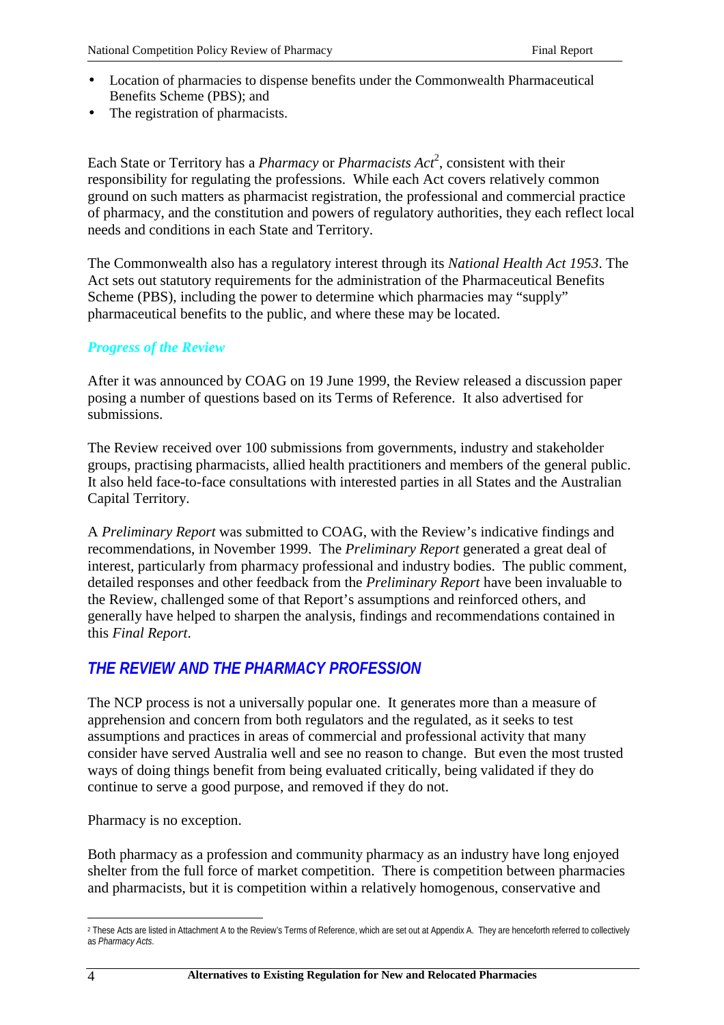- Location of pharmacies to dispense benefits under the Commonwealth Pharmaceutical Benefits Scheme (PBS); and
- The registration of pharmacists.

Each State or Territory has a *Pharmacy* or *Pharmacists Act*<sup>2</sup>, consistent with their responsibility for regulating the professions. While each Act covers relatively common ground on such matters as pharmacist registration, the professional and commercial practice of pharmacy, and the constitution and powers of regulatory authorities, they each reflect local needs and conditions in each State and Territory.

The Commonwealth also has a regulatory interest through its *National Health Act 1953*. The Act sets out statutory requirements for the administration of the Pharmaceutical Benefits Scheme (PBS), including the power to determine which pharmacies may "supply" pharmaceutical benefits to the public, and where these may be located.

## *Progress of the Review*

After it was announced by COAG on 19 June 1999, the Review released a discussion paper posing a number of questions based on its Terms of Reference. It also advertised for submissions.

The Review received over 100 submissions from governments, industry and stakeholder groups, practising pharmacists, allied health practitioners and members of the general public. It also held face-to-face consultations with interested parties in all States and the Australian Capital Territory.

A *Preliminary Report* was submitted to COAG, with the Review's indicative findings and recommendations, in November 1999. The *Preliminary Report* generated a great deal of interest, particularly from pharmacy professional and industry bodies. The public comment, detailed responses and other feedback from the *Preliminary Report* have been invaluable to the Review, challenged some of that Report's assumptions and reinforced others, and generally have helped to sharpen the analysis, findings and recommendations contained in this *Final Report*.

## *THE REVIEW AND THE PHARMACY PROFESSION*

The NCP process is not a universally popular one. It generates more than a measure of apprehension and concern from both regulators and the regulated, as it seeks to test assumptions and practices in areas of commercial and professional activity that many consider have served Australia well and see no reason to change. But even the most trusted ways of doing things benefit from being evaluated critically, being validated if they do continue to serve a good purpose, and removed if they do not.

Pharmacy is no exception.

Both pharmacy as a profession and community pharmacy as an industry have long enjoyed shelter from the full force of market competition. There is competition between pharmacies and pharmacists, but it is competition within a relatively homogenous, conservative and

 $\overline{a}$ 2 These Acts are listed in Attachment A to the Review's Terms of Reference, which are set out at Appendix A. They are henceforth referred to collectively as *Pharmacy Acts*.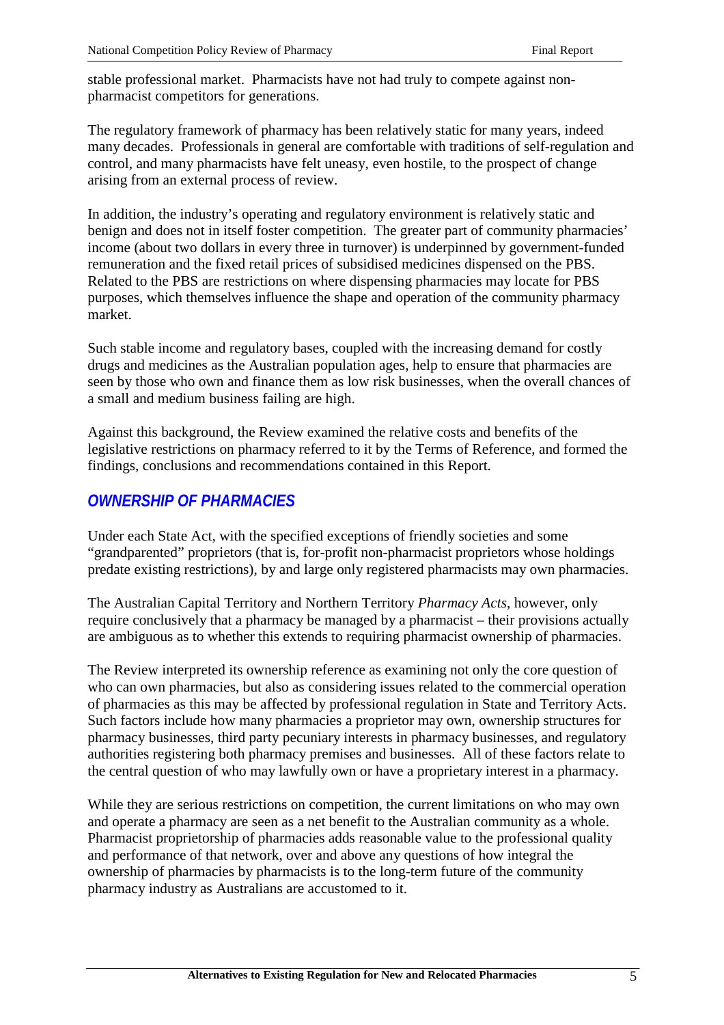stable professional market. Pharmacists have not had truly to compete against nonpharmacist competitors for generations.

The regulatory framework of pharmacy has been relatively static for many years, indeed many decades. Professionals in general are comfortable with traditions of self-regulation and control, and many pharmacists have felt uneasy, even hostile, to the prospect of change arising from an external process of review.

In addition, the industry's operating and regulatory environment is relatively static and benign and does not in itself foster competition. The greater part of community pharmacies' income (about two dollars in every three in turnover) is underpinned by government-funded remuneration and the fixed retail prices of subsidised medicines dispensed on the PBS. Related to the PBS are restrictions on where dispensing pharmacies may locate for PBS purposes, which themselves influence the shape and operation of the community pharmacy market.

Such stable income and regulatory bases, coupled with the increasing demand for costly drugs and medicines as the Australian population ages, help to ensure that pharmacies are seen by those who own and finance them as low risk businesses, when the overall chances of a small and medium business failing are high.

Against this background, the Review examined the relative costs and benefits of the legislative restrictions on pharmacy referred to it by the Terms of Reference, and formed the findings, conclusions and recommendations contained in this Report.

## *OWNERSHIP OF PHARMACIES*

Under each State Act, with the specified exceptions of friendly societies and some "grandparented" proprietors (that is, for-profit non-pharmacist proprietors whose holdings predate existing restrictions), by and large only registered pharmacists may own pharmacies.

The Australian Capital Territory and Northern Territory *Pharmacy Acts*, however, only require conclusively that a pharmacy be managed by a pharmacist – their provisions actually are ambiguous as to whether this extends to requiring pharmacist ownership of pharmacies.

The Review interpreted its ownership reference as examining not only the core question of who can own pharmacies, but also as considering issues related to the commercial operation of pharmacies as this may be affected by professional regulation in State and Territory Acts. Such factors include how many pharmacies a proprietor may own, ownership structures for pharmacy businesses, third party pecuniary interests in pharmacy businesses, and regulatory authorities registering both pharmacy premises and businesses. All of these factors relate to the central question of who may lawfully own or have a proprietary interest in a pharmacy.

While they are serious restrictions on competition, the current limitations on who may own and operate a pharmacy are seen as a net benefit to the Australian community as a whole. Pharmacist proprietorship of pharmacies adds reasonable value to the professional quality and performance of that network, over and above any questions of how integral the ownership of pharmacies by pharmacists is to the long-term future of the community pharmacy industry as Australians are accustomed to it.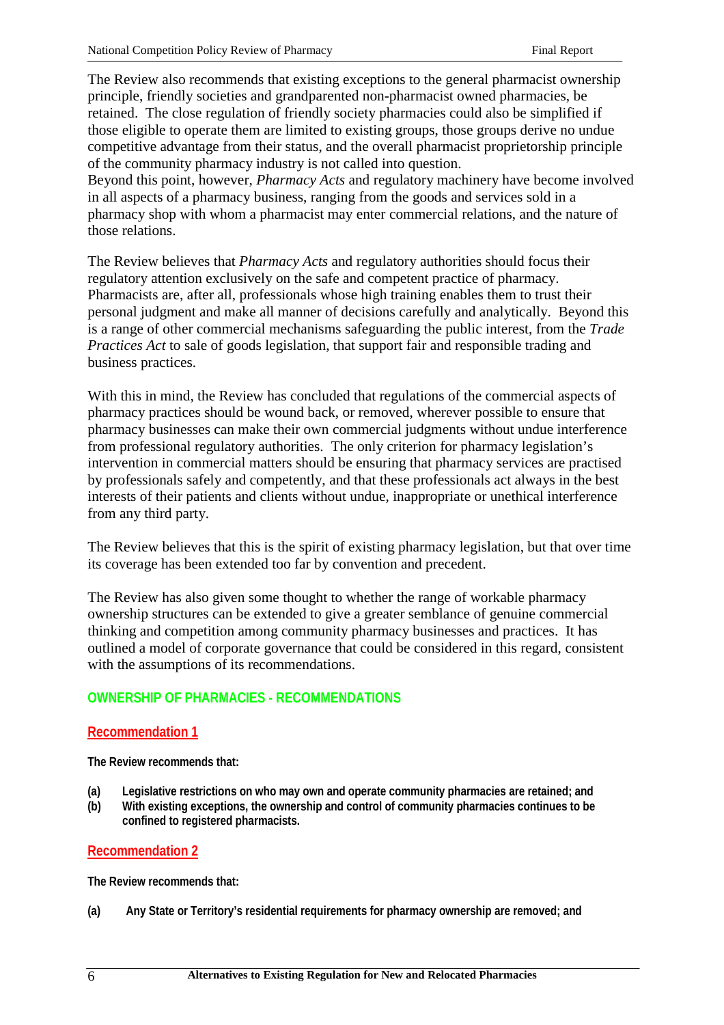The Review also recommends that existing exceptions to the general pharmacist ownership principle, friendly societies and grandparented non-pharmacist owned pharmacies, be retained. The close regulation of friendly society pharmacies could also be simplified if those eligible to operate them are limited to existing groups, those groups derive no undue competitive advantage from their status, and the overall pharmacist proprietorship principle of the community pharmacy industry is not called into question.

Beyond this point, however, *Pharmacy Acts* and regulatory machinery have become involved in all aspects of a pharmacy business, ranging from the goods and services sold in a pharmacy shop with whom a pharmacist may enter commercial relations, and the nature of those relations.

The Review believes that *Pharmacy Acts* and regulatory authorities should focus their regulatory attention exclusively on the safe and competent practice of pharmacy. Pharmacists are, after all, professionals whose high training enables them to trust their personal judgment and make all manner of decisions carefully and analytically. Beyond this is a range of other commercial mechanisms safeguarding the public interest, from the *Trade Practices Act* to sale of goods legislation, that support fair and responsible trading and business practices.

With this in mind, the Review has concluded that regulations of the commercial aspects of pharmacy practices should be wound back, or removed, wherever possible to ensure that pharmacy businesses can make their own commercial judgments without undue interference from professional regulatory authorities. The only criterion for pharmacy legislation's intervention in commercial matters should be ensuring that pharmacy services are practised by professionals safely and competently, and that these professionals act always in the best interests of their patients and clients without undue, inappropriate or unethical interference from any third party.

The Review believes that this is the spirit of existing pharmacy legislation, but that over time its coverage has been extended too far by convention and precedent.

The Review has also given some thought to whether the range of workable pharmacy ownership structures can be extended to give a greater semblance of genuine commercial thinking and competition among community pharmacy businesses and practices. It has outlined a model of corporate governance that could be considered in this regard, consistent with the assumptions of its recommendations.

## **OWNERSHIP OF PHARMACIES - RECOMMENDATIONS**

## **Recommendation 1**

**The Review recommends that:**

- **(a) Legislative restrictions on who may own and operate community pharmacies are retained; and**
- **(b) With existing exceptions, the ownership and control of community pharmacies continues to be confined to registered pharmacists.**

#### **Recommendation 2**

**The Review recommends that:**

**(a) Any State or Territory's residential requirements for pharmacy ownership are removed; and**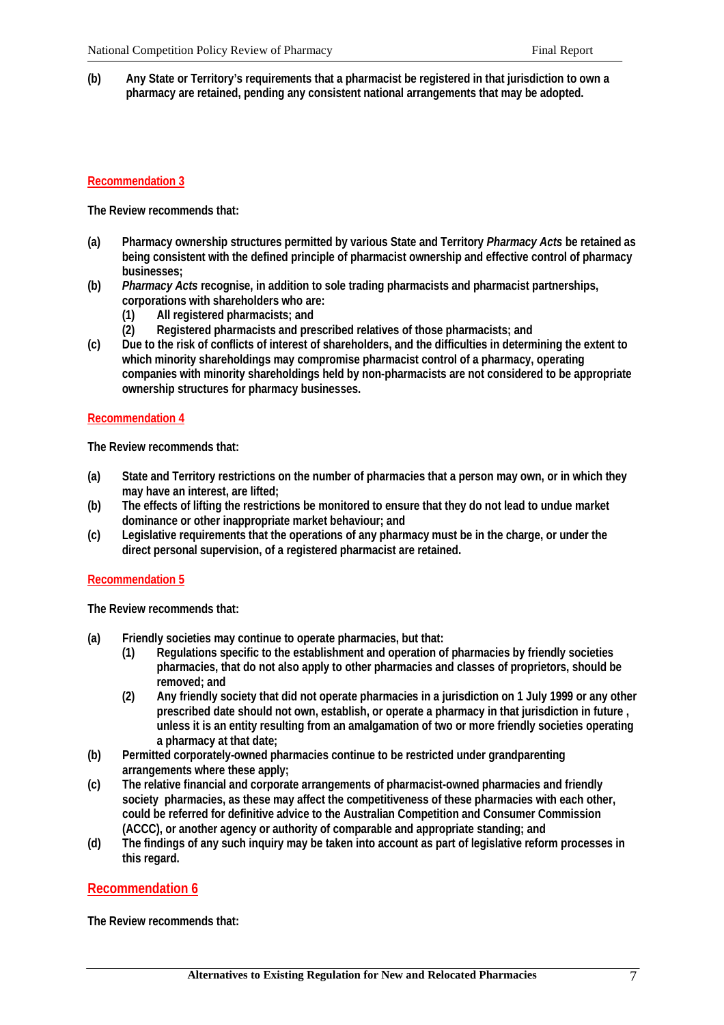**(b) Any State or Territory's requirements that a pharmacist be registered in that jurisdiction to own a pharmacy are retained, pending any consistent national arrangements that may be adopted.**

## **Recommendation 3**

**The Review recommends that:**

- **(a) Pharmacy ownership structures permitted by various State and Territory** *Pharmacy Acts* **be retained as being consistent with the defined principle of pharmacist ownership and effective control of pharmacy businesses;**
- **(b)** *Pharmacy Acts* **recognise, in addition to sole trading pharmacists and pharmacist partnerships, corporations with shareholders who are:**
	- **(1) All registered pharmacists; and**
	- **(2) Registered pharmacists and prescribed relatives of those pharmacists; and**
- **(c) Due to the risk of conflicts of interest of shareholders, and the difficulties in determining the extent to which minority shareholdings may compromise pharmacist control of a pharmacy, operating companies with minority shareholdings held by non-pharmacists are not considered to be appropriate ownership structures for pharmacy businesses.**

#### **Recommendation 4**

**The Review recommends that:**

- **(a) State and Territory restrictions on the number of pharmacies that a person may own, or in which they may have an interest, are lifted;**
- **(b) The effects of lifting the restrictions be monitored to ensure that they do not lead to undue market dominance or other inappropriate market behaviour; and**
- **(c) Legislative requirements that the operations of any pharmacy must be in the charge, or under the direct personal supervision, of a registered pharmacist are retained.**

#### **Recommendation 5**

**The Review recommends that:**

- **(a) Friendly societies may continue to operate pharmacies, but that:**
	- **(1) Regulations specific to the establishment and operation of pharmacies by friendly societies pharmacies, that do not also apply to other pharmacies and classes of proprietors, should be removed; and**
	- **(2) Any friendly society that did not operate pharmacies in a jurisdiction on 1 July 1999 or any other prescribed date should not own, establish, or operate a pharmacy in that jurisdiction in future , unless it is an entity resulting from an amalgamation of two or more friendly societies operating a pharmacy at that date;**
- **(b) Permitted corporately-owned pharmacies continue to be restricted under grandparenting arrangements where these apply;**
- **(c) The relative financial and corporate arrangements of pharmacist-owned pharmacies and friendly society pharmacies, as these may affect the competitiveness of these pharmacies with each other, could be referred for definitive advice to the Australian Competition and Consumer Commission (ACCC), or another agency or authority of comparable and appropriate standing; and**
- **(d) The findings of any such inquiry may be taken into account as part of legislative reform processes in this regard.**

## **Recommendation 6**

**The Review recommends that:**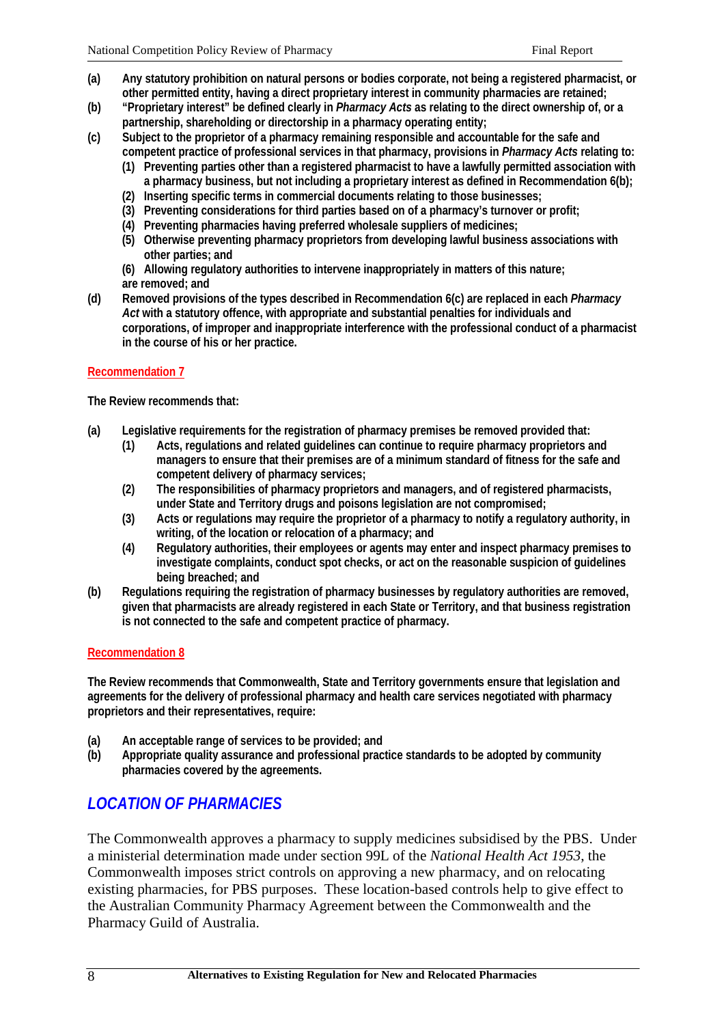- **(a) Any statutory prohibition on natural persons or bodies corporate, not being a registered pharmacist, or other permitted entity, having a direct proprietary interest in community pharmacies are retained;**
- **(b) "Proprietary interest" be defined clearly in** *Pharmacy Acts* **as relating to the direct ownership of, or a partnership, shareholding or directorship in a pharmacy operating entity;**
- **(c) Subject to the proprietor of a pharmacy remaining responsible and accountable for the safe and competent practice of professional services in that pharmacy, provisions in** *Pharmacy Acts* **relating to:**
	- **(1) Preventing parties other than a registered pharmacist to have a lawfully permitted association with a pharmacy business, but not including a proprietary interest as defined in Recommendation 6(b);**
	- **(2) Inserting specific terms in commercial documents relating to those businesses;**
	- **(3) Preventing considerations for third parties based on of a pharmacy's turnover or profit;**
	- **(4) Preventing pharmacies having preferred wholesale suppliers of medicines;**
	- **(5) Otherwise preventing pharmacy proprietors from developing lawful business associations with other parties; and**
	- **(6) Allowing regulatory authorities to intervene inappropriately in matters of this nature; are removed; and**
- **(d) Removed provisions of the types described in Recommendation 6(c) are replaced in each** *Pharmacy Act* **with a statutory offence, with appropriate and substantial penalties for individuals and corporations, of improper and inappropriate interference with the professional conduct of a pharmacist in the course of his or her practice.**

## **Recommendation 7**

**The Review recommends that:**

- **(a) Legislative requirements for the registration of pharmacy premises be removed provided that:**
	- **(1) Acts, regulations and related guidelines can continue to require pharmacy proprietors and managers to ensure that their premises are of a minimum standard of fitness for the safe and competent delivery of pharmacy services;**
	- **(2) The responsibilities of pharmacy proprietors and managers, and of registered pharmacists, under State and Territory drugs and poisons legislation are not compromised;**
	- **(3) Acts or regulations may require the proprietor of a pharmacy to notify a regulatory authority, in writing, of the location or relocation of a pharmacy; and**
	- **(4) Regulatory authorities, their employees or agents may enter and inspect pharmacy premises to investigate complaints, conduct spot checks, or act on the reasonable suspicion of guidelines being breached; and**
- **(b) Regulations requiring the registration of pharmacy businesses by regulatory authorities are removed, given that pharmacists are already registered in each State or Territory, and that business registration is not connected to the safe and competent practice of pharmacy.**

#### **Recommendation 8**

**The Review recommends that Commonwealth, State and Territory governments ensure that legislation and agreements for the delivery of professional pharmacy and health care services negotiated with pharmacy proprietors and their representatives, require:**

- **(a) An acceptable range of services to be provided; and**
- **(b) Appropriate quality assurance and professional practice standards to be adopted by community pharmacies covered by the agreements.**

## *LOCATION OF PHARMACIES*

The Commonwealth approves a pharmacy to supply medicines subsidised by the PBS. Under a ministerial determination made under section 99L of the *National Health Act 1953*, the Commonwealth imposes strict controls on approving a new pharmacy, and on relocating existing pharmacies, for PBS purposes. These location-based controls help to give effect to the Australian Community Pharmacy Agreement between the Commonwealth and the Pharmacy Guild of Australia.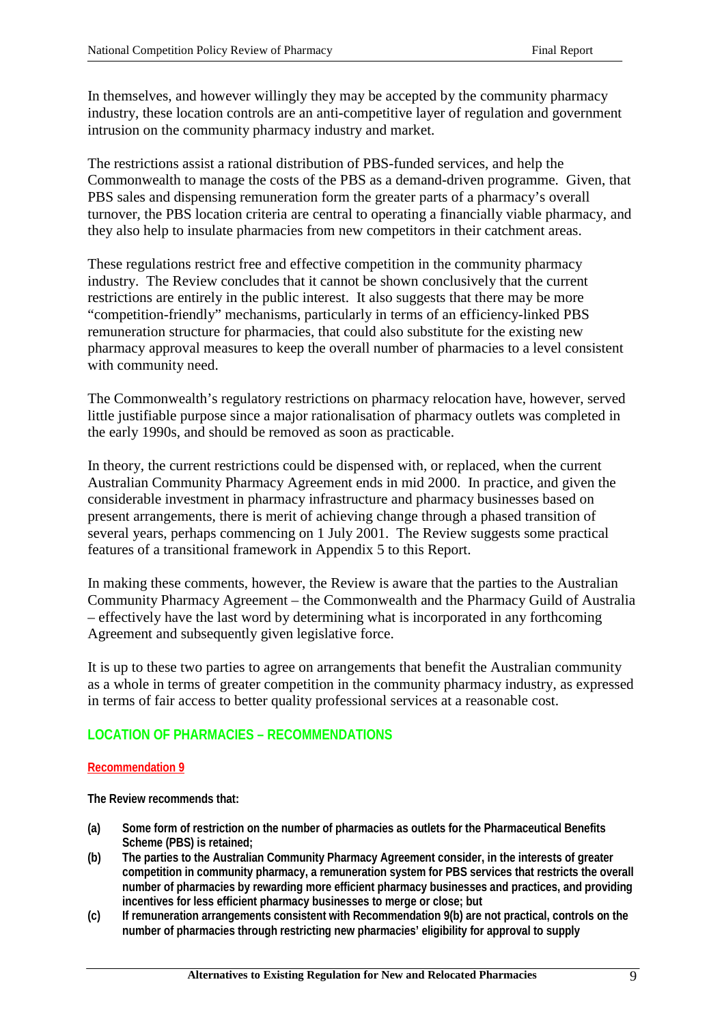In themselves, and however willingly they may be accepted by the community pharmacy industry, these location controls are an anti-competitive layer of regulation and government intrusion on the community pharmacy industry and market.

The restrictions assist a rational distribution of PBS-funded services, and help the Commonwealth to manage the costs of the PBS as a demand-driven programme. Given, that PBS sales and dispensing remuneration form the greater parts of a pharmacy's overall turnover, the PBS location criteria are central to operating a financially viable pharmacy, and they also help to insulate pharmacies from new competitors in their catchment areas.

These regulations restrict free and effective competition in the community pharmacy industry. The Review concludes that it cannot be shown conclusively that the current restrictions are entirely in the public interest. It also suggests that there may be more "competition-friendly" mechanisms, particularly in terms of an efficiency-linked PBS remuneration structure for pharmacies, that could also substitute for the existing new pharmacy approval measures to keep the overall number of pharmacies to a level consistent with community need.

The Commonwealth's regulatory restrictions on pharmacy relocation have, however, served little justifiable purpose since a major rationalisation of pharmacy outlets was completed in the early 1990s, and should be removed as soon as practicable.

In theory, the current restrictions could be dispensed with, or replaced, when the current Australian Community Pharmacy Agreement ends in mid 2000. In practice, and given the considerable investment in pharmacy infrastructure and pharmacy businesses based on present arrangements, there is merit of achieving change through a phased transition of several years, perhaps commencing on 1 July 2001. The Review suggests some practical features of a transitional framework in Appendix 5 to this Report.

In making these comments, however, the Review is aware that the parties to the Australian Community Pharmacy Agreement – the Commonwealth and the Pharmacy Guild of Australia – effectively have the last word by determining what is incorporated in any forthcoming Agreement and subsequently given legislative force.

It is up to these two parties to agree on arrangements that benefit the Australian community as a whole in terms of greater competition in the community pharmacy industry, as expressed in terms of fair access to better quality professional services at a reasonable cost.

## **LOCATION OF PHARMACIES – RECOMMENDATIONS**

## **Recommendation 9**

**The Review recommends that:**

- **(a) Some form of restriction on the number of pharmacies as outlets for the Pharmaceutical Benefits Scheme (PBS) is retained;**
- **(b) The parties to the Australian Community Pharmacy Agreement consider, in the interests of greater competition in community pharmacy, a remuneration system for PBS services that restricts the overall number of pharmacies by rewarding more efficient pharmacy businesses and practices, and providing incentives for less efficient pharmacy businesses to merge or close; but**
- **(c) If remuneration arrangements consistent with Recommendation 9(b) are not practical, controls on the number of pharmacies through restricting new pharmacies' eligibility for approval to supply**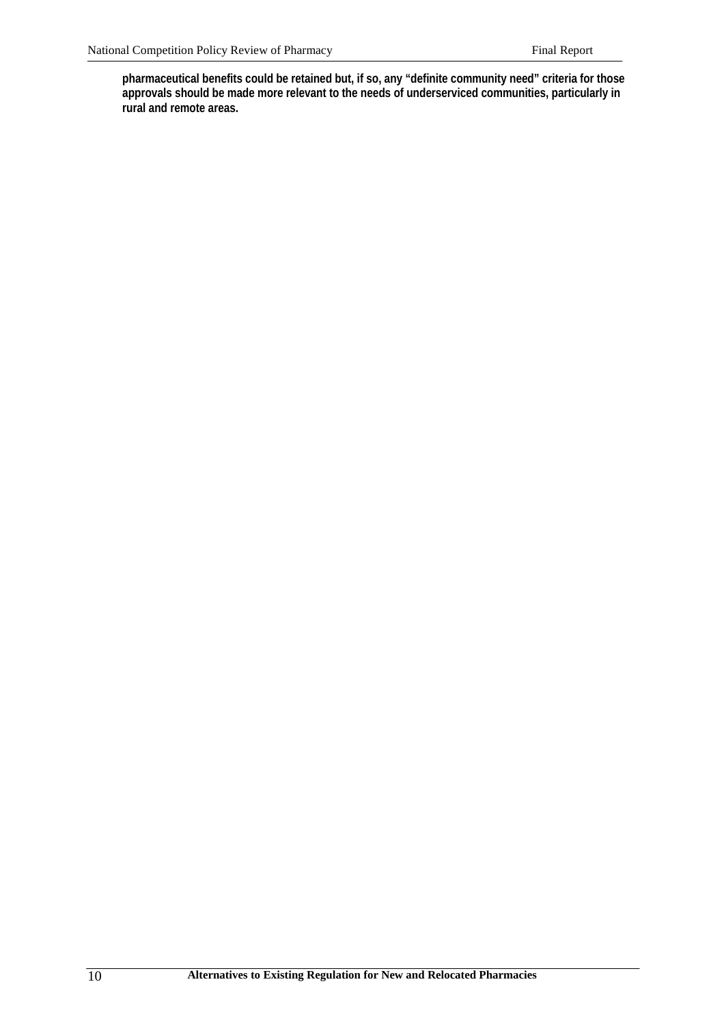**pharmaceutical benefits could be retained but, if so, any "definite community need" criteria for those approvals should be made more relevant to the needs of underserviced communities, particularly in rural and remote areas.**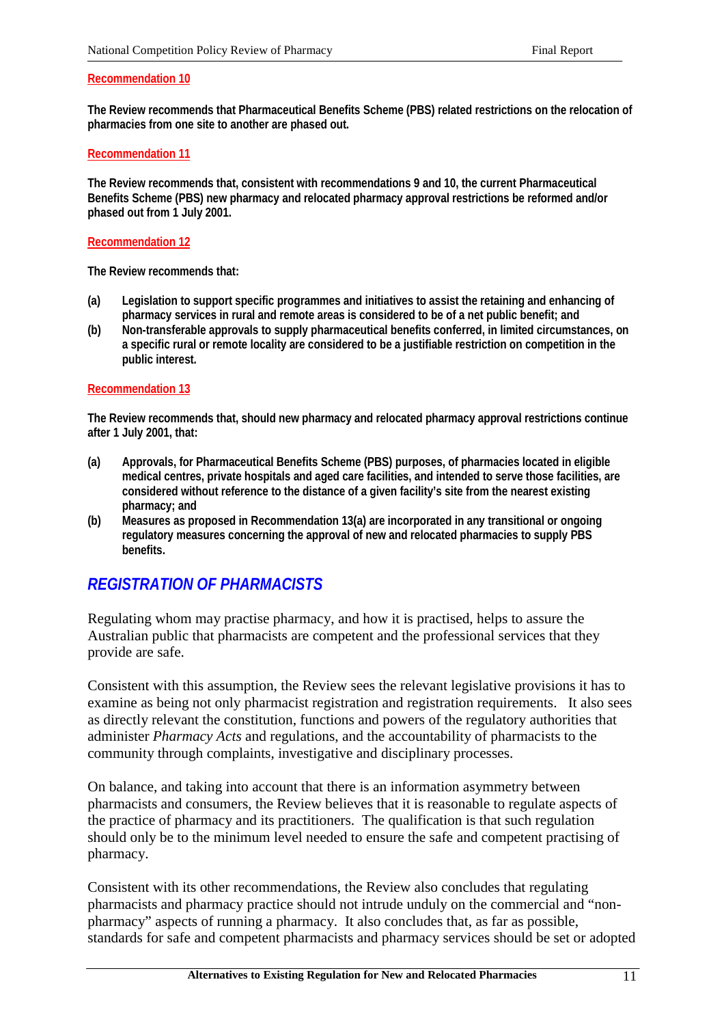#### **Recommendation 10**

**The Review recommends that Pharmaceutical Benefits Scheme (PBS) related restrictions on the relocation of pharmacies from one site to another are phased out.**

#### **Recommendation 11**

**The Review recommends that, consistent with recommendations 9 and 10, the current Pharmaceutical Benefits Scheme (PBS) new pharmacy and relocated pharmacy approval restrictions be reformed and/or phased out from 1 July 2001.**

#### **Recommendation 12**

**The Review recommends that:**

- **(a) Legislation to support specific programmes and initiatives to assist the retaining and enhancing of pharmacy services in rural and remote areas is considered to be of a net public benefit; and**
- **(b) Non-transferable approvals to supply pharmaceutical benefits conferred, in limited circumstances, on a specific rural or remote locality are considered to be a justifiable restriction on competition in the public interest.**

#### **Recommendation 13**

**The Review recommends that, should new pharmacy and relocated pharmacy approval restrictions continue after 1 July 2001, that:**

- **(a) Approvals, for Pharmaceutical Benefits Scheme (PBS) purposes, of pharmacies located in eligible medical centres, private hospitals and aged care facilities, and intended to serve those facilities, are considered without reference to the distance of a given facility's site from the nearest existing pharmacy; and**
- **(b) Measures as proposed in Recommendation 13(a) are incorporated in any transitional or ongoing regulatory measures concerning the approval of new and relocated pharmacies to supply PBS benefits.**

## *REGISTRATION OF PHARMACISTS*

Regulating whom may practise pharmacy, and how it is practised, helps to assure the Australian public that pharmacists are competent and the professional services that they provide are safe.

Consistent with this assumption, the Review sees the relevant legislative provisions it has to examine as being not only pharmacist registration and registration requirements. It also sees as directly relevant the constitution, functions and powers of the regulatory authorities that administer *Pharmacy Acts* and regulations, and the accountability of pharmacists to the community through complaints, investigative and disciplinary processes.

On balance, and taking into account that there is an information asymmetry between pharmacists and consumers, the Review believes that it is reasonable to regulate aspects of the practice of pharmacy and its practitioners. The qualification is that such regulation should only be to the minimum level needed to ensure the safe and competent practising of pharmacy.

Consistent with its other recommendations, the Review also concludes that regulating pharmacists and pharmacy practice should not intrude unduly on the commercial and "nonpharmacy" aspects of running a pharmacy. It also concludes that, as far as possible, standards for safe and competent pharmacists and pharmacy services should be set or adopted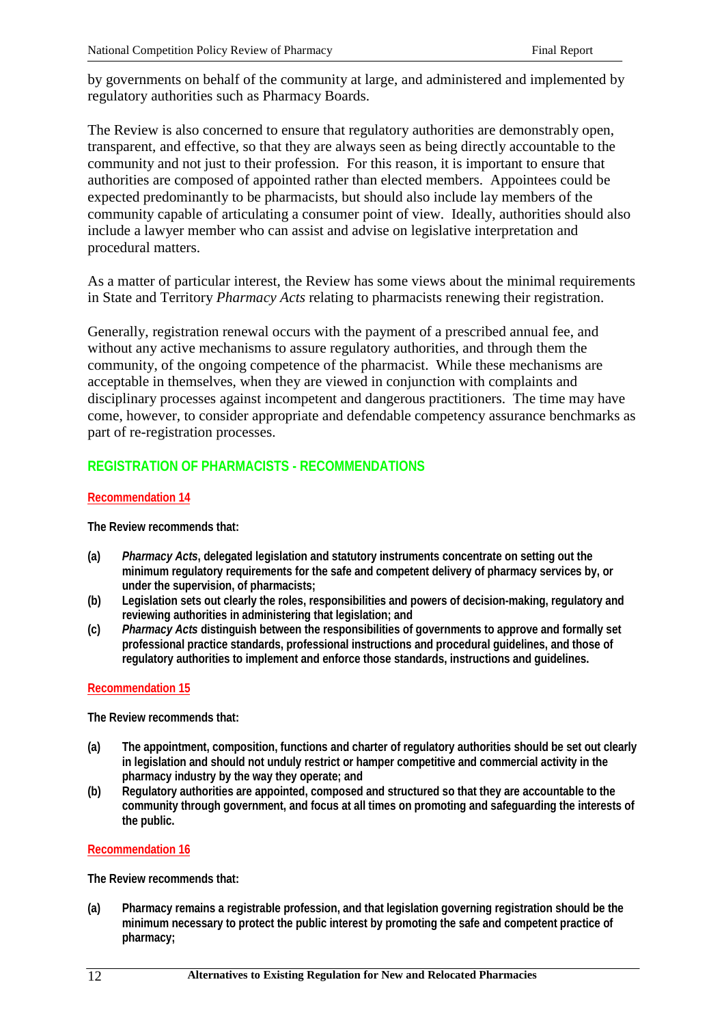by governments on behalf of the community at large, and administered and implemented by regulatory authorities such as Pharmacy Boards.

The Review is also concerned to ensure that regulatory authorities are demonstrably open, transparent, and effective, so that they are always seen as being directly accountable to the community and not just to their profession. For this reason, it is important to ensure that authorities are composed of appointed rather than elected members. Appointees could be expected predominantly to be pharmacists, but should also include lay members of the community capable of articulating a consumer point of view. Ideally, authorities should also include a lawyer member who can assist and advise on legislative interpretation and procedural matters.

As a matter of particular interest, the Review has some views about the minimal requirements in State and Territory *Pharmacy Acts* relating to pharmacists renewing their registration.

Generally, registration renewal occurs with the payment of a prescribed annual fee, and without any active mechanisms to assure regulatory authorities, and through them the community, of the ongoing competence of the pharmacist. While these mechanisms are acceptable in themselves, when they are viewed in conjunction with complaints and disciplinary processes against incompetent and dangerous practitioners. The time may have come, however, to consider appropriate and defendable competency assurance benchmarks as part of re-registration processes.

## **REGISTRATION OF PHARMACISTS - RECOMMENDATIONS**

## **Recommendation 14**

**The Review recommends that:**

- **(a)** *Pharmacy Acts***, delegated legislation and statutory instruments concentrate on setting out the minimum regulatory requirements for the safe and competent delivery of pharmacy services by, or under the supervision, of pharmacists;**
- **(b) Legislation sets out clearly the roles, responsibilities and powers of decision-making, regulatory and reviewing authorities in administering that legislation; and**
- **(c)** *Pharmacy Acts* **distinguish between the responsibilities of governments to approve and formally set professional practice standards, professional instructions and procedural guidelines, and those of regulatory authorities to implement and enforce those standards, instructions and guidelines.**

#### **Recommendation 15**

**The Review recommends that:**

- **(a) The appointment, composition, functions and charter of regulatory authorities should be set out clearly in legislation and should not unduly restrict or hamper competitive and commercial activity in the pharmacy industry by the way they operate; and**
- **(b) Regulatory authorities are appointed, composed and structured so that they are accountable to the community through government, and focus at all times on promoting and safeguarding the interests of the public.**

#### **Recommendation 16**

**The Review recommends that:**

**(a) Pharmacy remains a registrable profession, and that legislation governing registration should be the minimum necessary to protect the public interest by promoting the safe and competent practice of pharmacy;**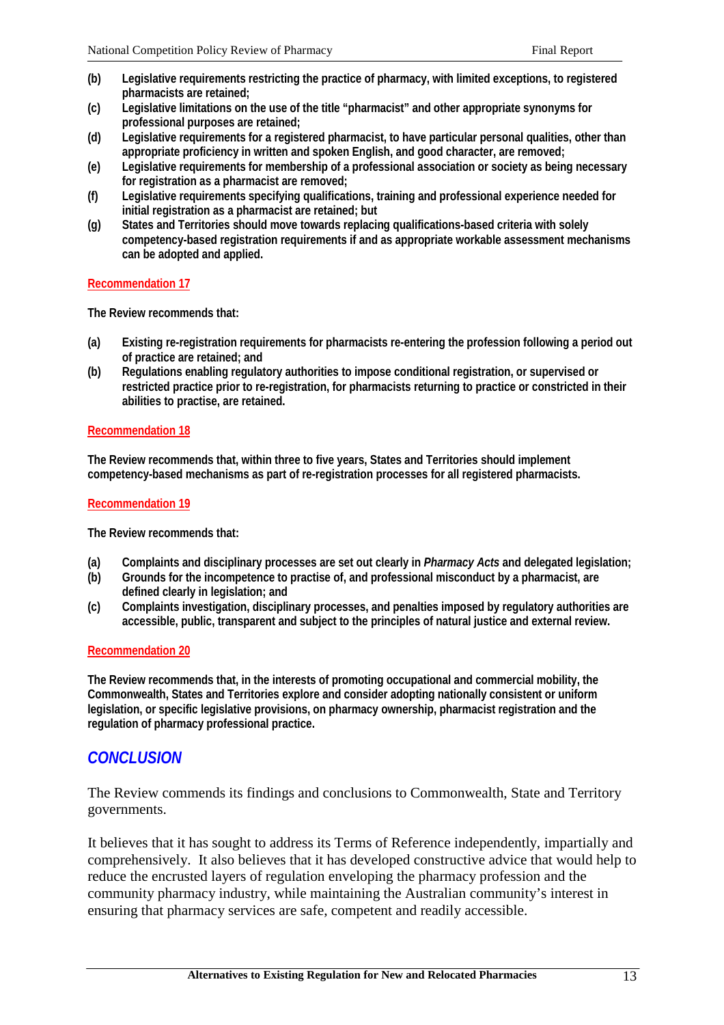- **(b) Legislative requirements restricting the practice of pharmacy, with limited exceptions, to registered pharmacists are retained;**
- **(c) Legislative limitations on the use of the title "pharmacist" and other appropriate synonyms for professional purposes are retained;**
- **(d) Legislative requirements for a registered pharmacist, to have particular personal qualities, other than appropriate proficiency in written and spoken English, and good character, are removed;**
- **(e) Legislative requirements for membership of a professional association or society as being necessary for registration as a pharmacist are removed;**
- **(f) Legislative requirements specifying qualifications, training and professional experience needed for initial registration as a pharmacist are retained; but**
- **(g) States and Territories should move towards replacing qualifications-based criteria with solely competency-based registration requirements if and as appropriate workable assessment mechanisms can be adopted and applied.**

#### **Recommendation 17**

**The Review recommends that:**

- **(a) Existing re-registration requirements for pharmacists re-entering the profession following a period out of practice are retained; and**
- **(b) Regulations enabling regulatory authorities to impose conditional registration, or supervised or restricted practice prior to re-registration, for pharmacists returning to practice or constricted in their abilities to practise, are retained.**

## **Recommendation 18**

**The Review recommends that, within three to five years, States and Territories should implement competency-based mechanisms as part of re-registration processes for all registered pharmacists.**

## **Recommendation 19**

**The Review recommends that:**

- **(a) Complaints and disciplinary processes are set out clearly in** *Pharmacy Acts* **and delegated legislation;**
- **(b) Grounds for the incompetence to practise of, and professional misconduct by a pharmacist, are defined clearly in legislation; and**
- **(c) Complaints investigation, disciplinary processes, and penalties imposed by regulatory authorities are accessible, public, transparent and subject to the principles of natural justice and external review.**

## **Recommendation 20**

**The Review recommends that, in the interests of promoting occupational and commercial mobility, the Commonwealth, States and Territories explore and consider adopting nationally consistent or uniform legislation, or specific legislative provisions, on pharmacy ownership, pharmacist registration and the regulation of pharmacy professional practice.**

## *CONCLUSION*

The Review commends its findings and conclusions to Commonwealth, State and Territory governments.

It believes that it has sought to address its Terms of Reference independently, impartially and comprehensively. It also believes that it has developed constructive advice that would help to reduce the encrusted layers of regulation enveloping the pharmacy profession and the community pharmacy industry, while maintaining the Australian community's interest in ensuring that pharmacy services are safe, competent and readily accessible.